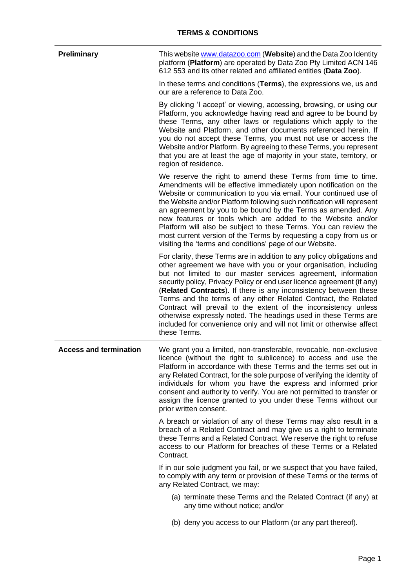| Preliminary                   | This website www.datazoo.com (Website) and the Data Zoo Identity<br>platform (Platform) are operated by Data Zoo Pty Limited ACN 146<br>612 553 and its other related and affiliated entities (Data Zoo).                                                                                                                                                                                                                                                                                                                                                                                                                                                 |
|-------------------------------|-----------------------------------------------------------------------------------------------------------------------------------------------------------------------------------------------------------------------------------------------------------------------------------------------------------------------------------------------------------------------------------------------------------------------------------------------------------------------------------------------------------------------------------------------------------------------------------------------------------------------------------------------------------|
|                               | In these terms and conditions (Terms), the expressions we, us and<br>our are a reference to Data Zoo.                                                                                                                                                                                                                                                                                                                                                                                                                                                                                                                                                     |
|                               | By clicking 'I accept' or viewing, accessing, browsing, or using our<br>Platform, you acknowledge having read and agree to be bound by<br>these Terms, any other laws or regulations which apply to the<br>Website and Platform, and other documents referenced herein. If<br>you do not accept these Terms, you must not use or access the<br>Website and/or Platform. By agreeing to these Terms, you represent<br>that you are at least the age of majority in your state, territory, or<br>region of residence.                                                                                                                                       |
|                               | We reserve the right to amend these Terms from time to time.<br>Amendments will be effective immediately upon notification on the<br>Website or communication to you via email. Your continued use of<br>the Website and/or Platform following such notification will represent<br>an agreement by you to be bound by the Terms as amended. Any<br>new features or tools which are added to the Website and/or<br>Platform will also be subject to these Terms. You can review the<br>most current version of the Terms by requesting a copy from us or<br>visiting the 'terms and conditions' page of our Website.                                       |
|                               | For clarity, these Terms are in addition to any policy obligations and<br>other agreement we have with you or your organisation, including<br>but not limited to our master services agreement, information<br>security policy, Privacy Policy or end user licence agreement (if any)<br>(Related Contracts). If there is any inconsistency between these<br>Terms and the terms of any other Related Contract, the Related<br>Contract will prevail to the extent of the inconsistency unless<br>otherwise expressly noted. The headings used in these Terms are<br>included for convenience only and will not limit or otherwise affect<br>these Terms. |
| <b>Access and termination</b> | We grant you a limited, non-transferable, revocable, non-exclusive<br>licence (without the right to sublicence) to access and use the<br>Platform in accordance with these Terms and the terms set out in<br>any Related Contract, for the sole purpose of verifying the identity of<br>individuals for whom you have the express and informed prior<br>consent and authority to verify. You are not permitted to transfer or<br>assign the licence granted to you under these Terms without our<br>prior written consent.                                                                                                                                |
|                               | A breach or violation of any of these Terms may also result in a<br>breach of a Related Contract and may give us a right to terminate<br>these Terms and a Related Contract. We reserve the right to refuse<br>access to our Platform for breaches of these Terms or a Related<br>Contract.                                                                                                                                                                                                                                                                                                                                                               |
|                               | If in our sole judgment you fail, or we suspect that you have failed,<br>to comply with any term or provision of these Terms or the terms of<br>any Related Contract, we may:                                                                                                                                                                                                                                                                                                                                                                                                                                                                             |
|                               | (a) terminate these Terms and the Related Contract (if any) at<br>any time without notice; and/or                                                                                                                                                                                                                                                                                                                                                                                                                                                                                                                                                         |
|                               | (b) deny you access to our Platform (or any part thereof).                                                                                                                                                                                                                                                                                                                                                                                                                                                                                                                                                                                                |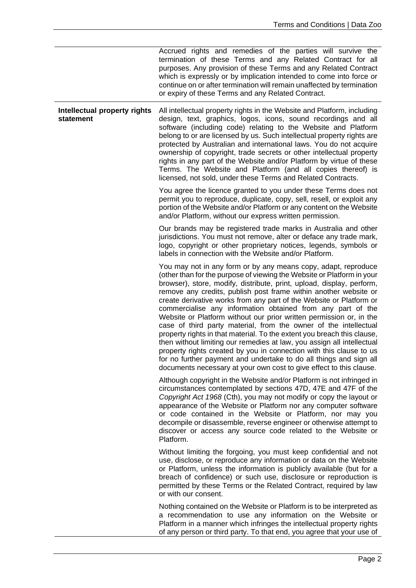| Accrued rights and remedies of the parties will survive the            |
|------------------------------------------------------------------------|
| termination of these Terms and any Related Contract for all            |
| purposes. Any provision of these Terms and any Related Contract        |
| which is expressly or by implication intended to come into force or    |
| continue on or after termination will remain unaffected by termination |
| or expiry of these Terms and any Related Contract.                     |

**Intellectual property rights statement**

All intellectual property rights in the Website and Platform, including design, text, graphics, logos, icons, sound recordings and all software (including code) relating to the Website and Platform belong to or are licensed by us. Such intellectual property rights are protected by Australian and international laws. You do not acquire ownership of copyright, trade secrets or other intellectual property rights in any part of the Website and/or Platform by virtue of these Terms. The Website and Platform (and all copies thereof) is licensed, not sold, under these Terms and Related Contracts.

> You agree the licence granted to you under these Terms does not permit you to reproduce, duplicate, copy, sell, resell, or exploit any portion of the Website and/or Platform or any content on the Website and/or Platform, without our express written permission.

> Our brands may be registered trade marks in Australia and other jurisdictions. You must not remove, alter or deface any trade mark, logo, copyright or other proprietary notices, legends, symbols or labels in connection with the Website and/or Platform.

> You may not in any form or by any means copy, adapt, reproduce (other than for the purpose of viewing the Website or Platform in your browser), store, modify, distribute, print, upload, display, perform, remove any credits, publish post frame within another website or create derivative works from any part of the Website or Platform or commercialise any information obtained from any part of the Website or Platform without our prior written permission or, in the case of third party material, from the owner of the intellectual property rights in that material. To the extent you breach this clause, then without limiting our remedies at law, you assign all intellectual property rights created by you in connection with this clause to us for no further payment and undertake to do all things and sign all documents necessary at your own cost to give effect to this clause.

> Although copyright in the Website and/or Platform is not infringed in circumstances contemplated by sections 47D, 47E and 47F of the *Copyright Act 1968* (Cth), you may not modify or copy the layout or appearance of the Website or Platform nor any computer software or code contained in the Website or Platform, nor may you decompile or disassemble, reverse engineer or otherwise attempt to discover or access any source code related to the Website or Platform.

> Without limiting the forgoing, you must keep confidential and not use, disclose, or reproduce any information or data on the Website or Platform, unless the information is publicly available (but for a breach of confidence) or such use, disclosure or reproduction is permitted by these Terms or the Related Contract, required by law or with our consent.

> Nothing contained on the Website or Platform is to be interpreted as a recommendation to use any information on the Website or Platform in a manner which infringes the intellectual property rights of any person or third party. To that end, you agree that your use of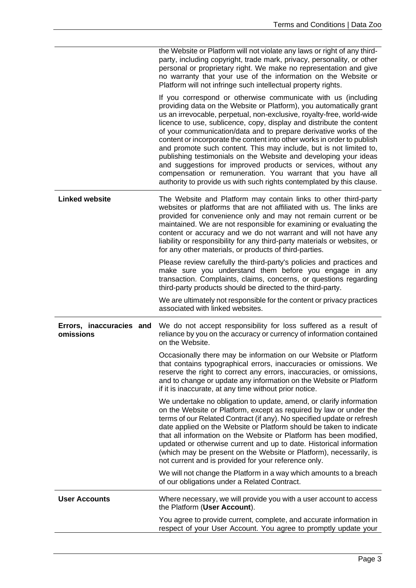|                                       | the Website or Platform will not violate any laws or right of any third-<br>party, including copyright, trade mark, privacy, personality, or other                                                                                                                                                                                                                                                                                                                                                                                                                                                                                                                                                                                                                                        |
|---------------------------------------|-------------------------------------------------------------------------------------------------------------------------------------------------------------------------------------------------------------------------------------------------------------------------------------------------------------------------------------------------------------------------------------------------------------------------------------------------------------------------------------------------------------------------------------------------------------------------------------------------------------------------------------------------------------------------------------------------------------------------------------------------------------------------------------------|
|                                       | personal or proprietary right. We make no representation and give<br>no warranty that your use of the information on the Website or<br>Platform will not infringe such intellectual property rights.                                                                                                                                                                                                                                                                                                                                                                                                                                                                                                                                                                                      |
|                                       | If you correspond or otherwise communicate with us (including<br>providing data on the Website or Platform), you automatically grant<br>us an irrevocable, perpetual, non-exclusive, royalty-free, world-wide<br>licence to use, sublicence, copy, display and distribute the content<br>of your communication/data and to prepare derivative works of the<br>content or incorporate the content into other works in order to publish<br>and promote such content. This may include, but is not limited to,<br>publishing testimonials on the Website and developing your ideas<br>and suggestions for improved products or services, without any<br>compensation or remuneration. You warrant that you have all<br>authority to provide us with such rights contemplated by this clause. |
| <b>Linked website</b>                 | The Website and Platform may contain links to other third-party<br>websites or platforms that are not affiliated with us. The links are<br>provided for convenience only and may not remain current or be<br>maintained. We are not responsible for examining or evaluating the<br>content or accuracy and we do not warrant and will not have any<br>liability or responsibility for any third-party materials or websites, or<br>for any other materials, or products of third-parties.                                                                                                                                                                                                                                                                                                 |
|                                       | Please review carefully the third-party's policies and practices and<br>make sure you understand them before you engage in any<br>transaction. Complaints, claims, concerns, or questions regarding                                                                                                                                                                                                                                                                                                                                                                                                                                                                                                                                                                                       |
|                                       | third-party products should be directed to the third-party.                                                                                                                                                                                                                                                                                                                                                                                                                                                                                                                                                                                                                                                                                                                               |
|                                       | We are ultimately not responsible for the content or privacy practices<br>associated with linked websites.                                                                                                                                                                                                                                                                                                                                                                                                                                                                                                                                                                                                                                                                                |
| Errors, inaccuracies and<br>omissions | We do not accept responsibility for loss suffered as a result of<br>reliance by you on the accuracy or currency of information contained<br>on the Website.                                                                                                                                                                                                                                                                                                                                                                                                                                                                                                                                                                                                                               |
|                                       | Occasionally there may be information on our Website or Platform<br>that contains typographical errors, inaccuracies or omissions. We<br>reserve the right to correct any errors, inaccuracies, or omissions,<br>and to change or update any information on the Website or Platform<br>if it is inaccurate, at any time without prior notice.                                                                                                                                                                                                                                                                                                                                                                                                                                             |
|                                       | We undertake no obligation to update, amend, or clarify information<br>on the Website or Platform, except as required by law or under the<br>terms of our Related Contract (if any). No specified update or refresh<br>date applied on the Website or Platform should be taken to indicate<br>that all information on the Website or Platform has been modified,<br>updated or otherwise current and up to date. Historical information<br>(which may be present on the Website or Platform), necessarily, is<br>not current and is provided for your reference only.                                                                                                                                                                                                                     |
|                                       | We will not change the Platform in a way which amounts to a breach<br>of our obligations under a Related Contract.                                                                                                                                                                                                                                                                                                                                                                                                                                                                                                                                                                                                                                                                        |
| <b>User Accounts</b>                  | Where necessary, we will provide you with a user account to access<br>the Platform (User Account).                                                                                                                                                                                                                                                                                                                                                                                                                                                                                                                                                                                                                                                                                        |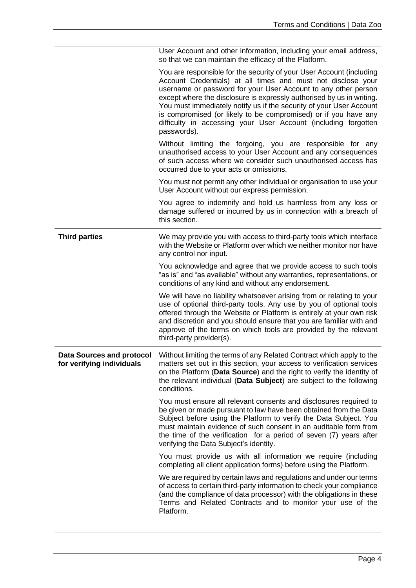|                                                               | User Account and other information, including your email address,<br>so that we can maintain the efficacy of the Platform.                                                                                                                                                                                                                                                                                                                                                                                 |
|---------------------------------------------------------------|------------------------------------------------------------------------------------------------------------------------------------------------------------------------------------------------------------------------------------------------------------------------------------------------------------------------------------------------------------------------------------------------------------------------------------------------------------------------------------------------------------|
|                                                               | You are responsible for the security of your User Account (including<br>Account Credentials) at all times and must not disclose your<br>username or password for your User Account to any other person<br>except where the disclosure is expressly authorised by us in writing.<br>You must immediately notify us if the security of your User Account<br>is compromised (or likely to be compromised) or if you have any<br>difficulty in accessing your User Account (including forgotten<br>passwords). |
|                                                               | Without limiting the forgoing, you are responsible for any<br>unauthorised access to your User Account and any consequences<br>of such access where we consider such unauthorised access has<br>occurred due to your acts or omissions.                                                                                                                                                                                                                                                                    |
|                                                               | You must not permit any other individual or organisation to use your<br>User Account without our express permission.                                                                                                                                                                                                                                                                                                                                                                                       |
|                                                               | You agree to indemnify and hold us harmless from any loss or<br>damage suffered or incurred by us in connection with a breach of<br>this section.                                                                                                                                                                                                                                                                                                                                                          |
| <b>Third parties</b>                                          | We may provide you with access to third-party tools which interface<br>with the Website or Platform over which we neither monitor nor have<br>any control nor input.                                                                                                                                                                                                                                                                                                                                       |
|                                                               | You acknowledge and agree that we provide access to such tools<br>"as is" and "as available" without any warranties, representations, or<br>conditions of any kind and without any endorsement.                                                                                                                                                                                                                                                                                                            |
|                                                               | We will have no liability whatsoever arising from or relating to your<br>use of optional third-party tools. Any use by you of optional tools<br>offered through the Website or Platform is entirely at your own risk<br>and discretion and you should ensure that you are familiar with and<br>approve of the terms on which tools are provided by the relevant<br>third-party provider(s).                                                                                                                |
| <b>Data Sources and protocol</b><br>for verifying individuals | Without limiting the terms of any Related Contract which apply to the<br>matters set out in this section, your access to verification services<br>on the Platform (Data Source) and the right to verify the identity of<br>the relevant individual (Data Subject) are subject to the following<br>conditions.                                                                                                                                                                                              |
|                                                               | You must ensure all relevant consents and disclosures required to<br>be given or made pursuant to law have been obtained from the Data<br>Subject before using the Platform to verify the Data Subject. You<br>must maintain evidence of such consent in an auditable form from<br>the time of the verification for a period of seven (7) years after<br>verifying the Data Subject's identity.                                                                                                            |
|                                                               | You must provide us with all information we require (including<br>completing all client application forms) before using the Platform.                                                                                                                                                                                                                                                                                                                                                                      |
|                                                               | We are required by certain laws and regulations and under our terms<br>of access to certain third-party information to check your compliance<br>(and the compliance of data processor) with the obligations in these<br>Terms and Related Contracts and to monitor your use of the<br>Platform.                                                                                                                                                                                                            |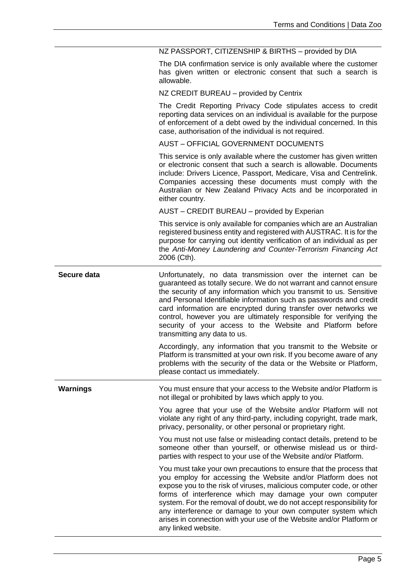|                 | NZ PASSPORT, CITIZENSHIP & BIRTHS - provided by DIA                                                                                                                                                                                                                                                                                                                                                                                                                                                                  |
|-----------------|----------------------------------------------------------------------------------------------------------------------------------------------------------------------------------------------------------------------------------------------------------------------------------------------------------------------------------------------------------------------------------------------------------------------------------------------------------------------------------------------------------------------|
|                 | The DIA confirmation service is only available where the customer<br>has given written or electronic consent that such a search is<br>allowable.                                                                                                                                                                                                                                                                                                                                                                     |
|                 | NZ CREDIT BUREAU – provided by Centrix                                                                                                                                                                                                                                                                                                                                                                                                                                                                               |
|                 | The Credit Reporting Privacy Code stipulates access to credit<br>reporting data services on an individual is available for the purpose<br>of enforcement of a debt owed by the individual concerned. In this<br>case, authorisation of the individual is not required.                                                                                                                                                                                                                                               |
|                 | <b>AUST - OFFICIAL GOVERNMENT DOCUMENTS</b>                                                                                                                                                                                                                                                                                                                                                                                                                                                                          |
|                 | This service is only available where the customer has given written<br>or electronic consent that such a search is allowable. Documents<br>include: Drivers Licence, Passport, Medicare, Visa and Centrelink.<br>Companies accessing these documents must comply with the<br>Australian or New Zealand Privacy Acts and be incorporated in<br>either country.                                                                                                                                                        |
|                 | AUST - CREDIT BUREAU - provided by Experian                                                                                                                                                                                                                                                                                                                                                                                                                                                                          |
|                 | This service is only available for companies which are an Australian<br>registered business entity and registered with AUSTRAC. It is for the<br>purpose for carrying out identity verification of an individual as per<br>the Anti-Money Laundering and Counter-Terrorism Financing Act<br>2006 (Cth).                                                                                                                                                                                                              |
| Secure data     | Unfortunately, no data transmission over the internet can be<br>guaranteed as totally secure. We do not warrant and cannot ensure<br>the security of any information which you transmit to us. Sensitive<br>and Personal Identifiable information such as passwords and credit<br>card information are encrypted during transfer over networks we<br>control, however you are ultimately responsible for verifying the<br>security of your access to the Website and Platform before<br>transmitting any data to us. |
|                 | Accordingly, any information that you transmit to the Website or<br>Platform is transmitted at your own risk. If you become aware of any<br>problems with the security of the data or the Website or Platform,<br>please contact us immediately.                                                                                                                                                                                                                                                                     |
| <b>Warnings</b> | You must ensure that your access to the Website and/or Platform is<br>not illegal or prohibited by laws which apply to you.                                                                                                                                                                                                                                                                                                                                                                                          |
|                 | You agree that your use of the Website and/or Platform will not<br>violate any right of any third-party, including copyright, trade mark,<br>privacy, personality, or other personal or proprietary right.                                                                                                                                                                                                                                                                                                           |
|                 | You must not use false or misleading contact details, pretend to be<br>someone other than yourself, or otherwise mislead us or third-<br>parties with respect to your use of the Website and/or Platform.                                                                                                                                                                                                                                                                                                            |
|                 | You must take your own precautions to ensure that the process that<br>you employ for accessing the Website and/or Platform does not<br>expose you to the risk of viruses, malicious computer code, or other<br>forms of interference which may damage your own computer<br>system. For the removal of doubt, we do not accept responsibility for<br>any interference or damage to your own computer system which<br>arises in connection with your use of the Website and/or Platform or<br>any linked website.      |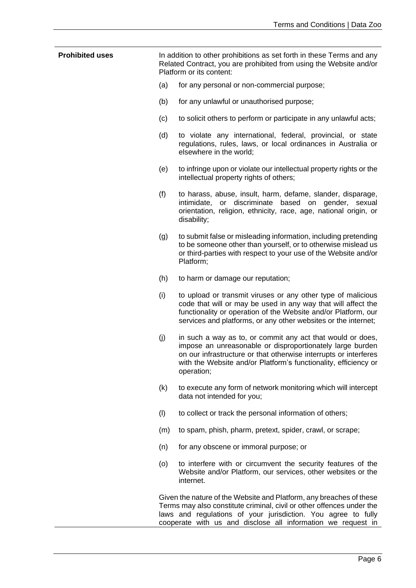| <b>Prohibited uses</b> |     | In addition to other prohibitions as set forth in these Terms and any<br>Related Contract, you are prohibited from using the Website and/or<br>Platform or its content:                                                                                                       |
|------------------------|-----|-------------------------------------------------------------------------------------------------------------------------------------------------------------------------------------------------------------------------------------------------------------------------------|
|                        | (a) | for any personal or non-commercial purpose;                                                                                                                                                                                                                                   |
|                        | (b) | for any unlawful or unauthorised purpose;                                                                                                                                                                                                                                     |
|                        | (c) | to solicit others to perform or participate in any unlawful acts;                                                                                                                                                                                                             |
|                        | (d) | to violate any international, federal, provincial, or state<br>regulations, rules, laws, or local ordinances in Australia or<br>elsewhere in the world;                                                                                                                       |
|                        | (e) | to infringe upon or violate our intellectual property rights or the<br>intellectual property rights of others;                                                                                                                                                                |
|                        | (f) | to harass, abuse, insult, harm, defame, slander, disparage,<br>intimidate, or discriminate based on gender, sexual<br>orientation, religion, ethnicity, race, age, national origin, or<br>disability;                                                                         |
|                        | (g) | to submit false or misleading information, including pretending<br>to be someone other than yourself, or to otherwise mislead us<br>or third-parties with respect to your use of the Website and/or<br>Platform;                                                              |
|                        | (h) | to harm or damage our reputation;                                                                                                                                                                                                                                             |
|                        | (i) | to upload or transmit viruses or any other type of malicious<br>code that will or may be used in any way that will affect the<br>functionality or operation of the Website and/or Platform, our<br>services and platforms, or any other websites or the internet;             |
|                        | (j) | in such a way as to, or commit any act that would or does,<br>impose an unreasonable or disproportionately large burden<br>on our infrastructure or that otherwise interrupts or interferes<br>with the Website and/or Platform's functionality, efficiency or<br>operation;  |
|                        | (k) | to execute any form of network monitoring which will intercept<br>data not intended for you;                                                                                                                                                                                  |
|                        | (1) | to collect or track the personal information of others;                                                                                                                                                                                                                       |
|                        | (m) | to spam, phish, pharm, pretext, spider, crawl, or scrape;                                                                                                                                                                                                                     |
|                        | (n) | for any obscene or immoral purpose; or                                                                                                                                                                                                                                        |
|                        | (0) | to interfere with or circumvent the security features of the<br>Website and/or Platform, our services, other websites or the<br>internet.                                                                                                                                     |
|                        |     | Given the nature of the Website and Platform, any breaches of these<br>Terms may also constitute criminal, civil or other offences under the<br>laws and regulations of your jurisdiction. You agree to fully<br>cooperate with us and disclose all information we request in |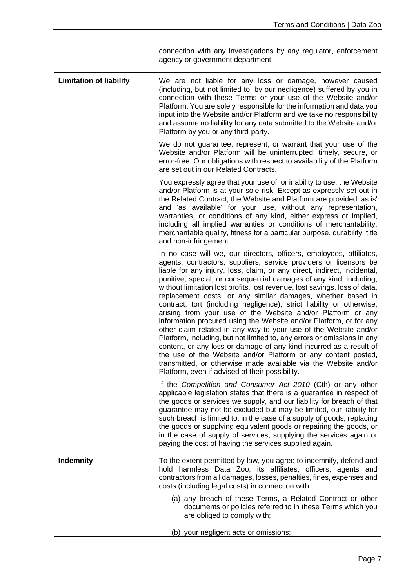|                                | connection with any investigations by any regulator, enforcement<br>agency or government department.                                                                                                                                                                                                                                                                                                                                                                                                                                                                                                                                                                                                                                                                                                                                                                                                                                                                                                                                                               |
|--------------------------------|--------------------------------------------------------------------------------------------------------------------------------------------------------------------------------------------------------------------------------------------------------------------------------------------------------------------------------------------------------------------------------------------------------------------------------------------------------------------------------------------------------------------------------------------------------------------------------------------------------------------------------------------------------------------------------------------------------------------------------------------------------------------------------------------------------------------------------------------------------------------------------------------------------------------------------------------------------------------------------------------------------------------------------------------------------------------|
| <b>Limitation of liability</b> | We are not liable for any loss or damage, however caused<br>(including, but not limited to, by our negligence) suffered by you in<br>connection with these Terms or your use of the Website and/or<br>Platform. You are solely responsible for the information and data you<br>input into the Website and/or Platform and we take no responsibility<br>and assume no liability for any data submitted to the Website and/or<br>Platform by you or any third-party.                                                                                                                                                                                                                                                                                                                                                                                                                                                                                                                                                                                                 |
|                                | We do not guarantee, represent, or warrant that your use of the<br>Website and/or Platform will be uninterrupted, timely, secure, or<br>error-free. Our obligations with respect to availability of the Platform<br>are set out in our Related Contracts.                                                                                                                                                                                                                                                                                                                                                                                                                                                                                                                                                                                                                                                                                                                                                                                                          |
|                                | You expressly agree that your use of, or inability to use, the Website<br>and/or Platform is at your sole risk. Except as expressly set out in<br>the Related Contract, the Website and Platform are provided 'as is'<br>and 'as available' for your use, without any representation,<br>warranties, or conditions of any kind, either express or implied,<br>including all implied warranties or conditions of merchantability,<br>merchantable quality, fitness for a particular purpose, durability, title<br>and non-infringement.                                                                                                                                                                                                                                                                                                                                                                                                                                                                                                                             |
|                                | In no case will we, our directors, officers, employees, affiliates,<br>agents, contractors, suppliers, service providers or licensors be<br>liable for any injury, loss, claim, or any direct, indirect, incidental,<br>punitive, special, or consequential damages of any kind, including,<br>without limitation lost profits, lost revenue, lost savings, loss of data,<br>replacement costs, or any similar damages, whether based in<br>contract, tort (including negligence), strict liability or otherwise,<br>arising from your use of the Website and/or Platform or any<br>information procured using the Website and/or Platform, or for any<br>other claim related in any way to your use of the Website and/or<br>Platform, including, but not limited to, any errors or omissions in any<br>content, or any loss or damage of any kind incurred as a result of<br>the use of the Website and/or Platform or any content posted,<br>transmitted, or otherwise made available via the Website and/or<br>Platform, even if advised of their possibility. |
|                                | If the Competition and Consumer Act 2010 (Cth) or any other<br>applicable legislation states that there is a guarantee in respect of<br>the goods or services we supply, and our liability for breach of that<br>guarantee may not be excluded but may be limited, our liability for<br>such breach is limited to, in the case of a supply of goods, replacing<br>the goods or supplying equivalent goods or repairing the goods, or<br>in the case of supply of services, supplying the services again or<br>paying the cost of having the services supplied again.                                                                                                                                                                                                                                                                                                                                                                                                                                                                                               |
| <b>Indemnity</b>               | To the extent permitted by law, you agree to indemnify, defend and<br>hold harmless Data Zoo, its affiliates, officers, agents and<br>contractors from all damages, losses, penalties, fines, expenses and<br>costs (including legal costs) in connection with:                                                                                                                                                                                                                                                                                                                                                                                                                                                                                                                                                                                                                                                                                                                                                                                                    |
|                                | (a) any breach of these Terms, a Related Contract or other<br>documents or policies referred to in these Terms which you<br>are obliged to comply with;                                                                                                                                                                                                                                                                                                                                                                                                                                                                                                                                                                                                                                                                                                                                                                                                                                                                                                            |
|                                | (b) your negligent acts or omissions;                                                                                                                                                                                                                                                                                                                                                                                                                                                                                                                                                                                                                                                                                                                                                                                                                                                                                                                                                                                                                              |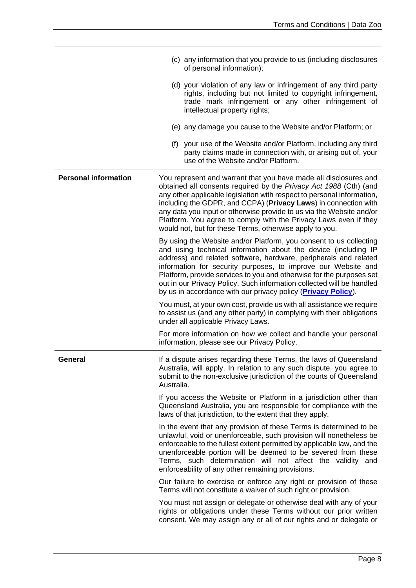|                             | (c) any information that you provide to us (including disclosures<br>of personal information);                                                                                                                                                                                                                                                                                                                                                                                                       |
|-----------------------------|------------------------------------------------------------------------------------------------------------------------------------------------------------------------------------------------------------------------------------------------------------------------------------------------------------------------------------------------------------------------------------------------------------------------------------------------------------------------------------------------------|
|                             | (d) your violation of any law or infringement of any third party<br>rights, including but not limited to copyright infringement,<br>trade mark infringement or any other infringement of<br>intellectual property rights;                                                                                                                                                                                                                                                                            |
|                             | (e) any damage you cause to the Website and/or Platform; or                                                                                                                                                                                                                                                                                                                                                                                                                                          |
|                             | (f) your use of the Website and/or Platform, including any third<br>party claims made in connection with, or arising out of, your<br>use of the Website and/or Platform.                                                                                                                                                                                                                                                                                                                             |
| <b>Personal information</b> | You represent and warrant that you have made all disclosures and<br>obtained all consents required by the Privacy Act 1988 (Cth) (and<br>any other applicable legislation with respect to personal information,<br>including the GDPR, and CCPA) (Privacy Laws) in connection with<br>any data you input or otherwise provide to us via the Website and/or<br>Platform. You agree to comply with the Privacy Laws even if they<br>would not, but for these Terms, otherwise apply to you.            |
|                             | By using the Website and/or Platform, you consent to us collecting<br>and using technical information about the device (including IP<br>address) and related software, hardware, peripherals and related<br>information for security purposes, to improve our Website and<br>Platform, provide services to you and otherwise for the purposes set<br>out in our Privacy Policy. Such information collected will be handled<br>by us in accordance with our privacy policy ( <b>Privacy Policy</b> ). |
|                             | You must, at your own cost, provide us with all assistance we require<br>to assist us (and any other party) in complying with their obligations<br>under all applicable Privacy Laws.                                                                                                                                                                                                                                                                                                                |
|                             | For more information on how we collect and handle your personal<br>information, please see our Privacy Policy.                                                                                                                                                                                                                                                                                                                                                                                       |
| <b>General</b>              | If a dispute arises regarding these Terms, the laws of Queensland<br>Australia, will apply. In relation to any such dispute, you agree to<br>submit to the non-exclusive jurisdiction of the courts of Queensland<br>Australia.                                                                                                                                                                                                                                                                      |
|                             | If you access the Website or Platform in a jurisdiction other than<br>Queensland Australia, you are responsible for compliance with the<br>laws of that jurisdiction, to the extent that they apply.                                                                                                                                                                                                                                                                                                 |
|                             | In the event that any provision of these Terms is determined to be<br>unlawful, void or unenforceable, such provision will nonetheless be<br>enforceable to the fullest extent permitted by applicable law, and the<br>unenforceable portion will be deemed to be severed from these<br>Terms, such determination will not affect the validity and<br>enforceability of any other remaining provisions.                                                                                              |
|                             | Our failure to exercise or enforce any right or provision of these<br>Terms will not constitute a waiver of such right or provision.                                                                                                                                                                                                                                                                                                                                                                 |
|                             | You must not assign or delegate or otherwise deal with any of your<br>rights or obligations under these Terms without our prior written<br>consent. We may assign any or all of our rights and or delegate or                                                                                                                                                                                                                                                                                        |